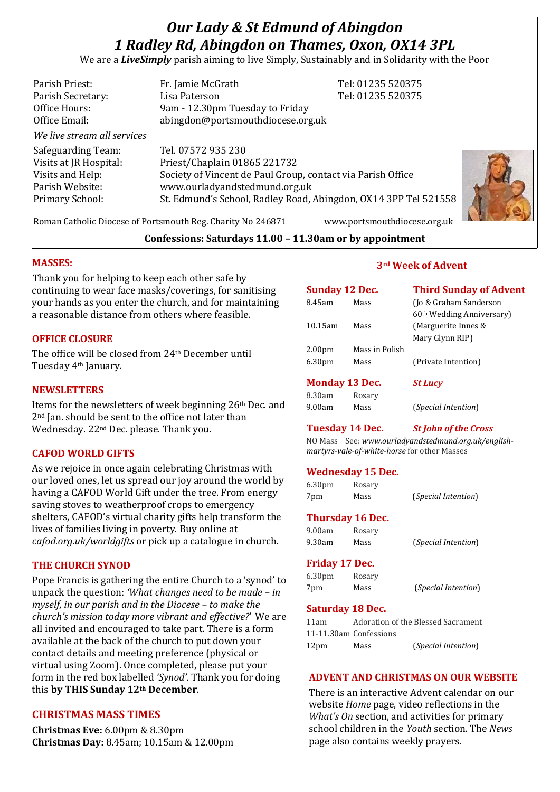# *Our Lady & St Edmund of Abingdon 1 Radley Rd, Abingdon on Thames, Oxon, OX14 3PL*

We are a *LiveSimply* parish aiming to live Simply, Sustainably and in Solidarity with the Poor

| Parish Priest:<br>Parish Secretary:<br>Office Hours:<br>Office Email: | Fr. Jamie McGrath<br>Lisa Paterson<br>9am - 12.30pm Tuesday to Friday<br>abingdon@portsmouthdiocese.org.uk        | Tel: 01235 520375<br>Tel: 01235 520375 |  |
|-----------------------------------------------------------------------|-------------------------------------------------------------------------------------------------------------------|----------------------------------------|--|
| We live stream all services                                           |                                                                                                                   |                                        |  |
| Safeguarding Team:<br>Visits at JR Hospital:<br>Visits and Help:      | Tel. 07572 935 230<br>Priest/Chaplain 01865 221732<br>Society of Vincent de Paul Group, contact via Parish Office |                                        |  |
| Parish Website:<br>Primary School:                                    | www.ourladyandstedmund.org.uk<br>St. Edmund's School, Radley Road, Abingdon, OX14 3PP Tel 521558                  |                                        |  |



Roman Catholic Diocese of Portsmouth Reg. Charity No 246871 www.portsmouthdiocese.org.uk

### **Confessions: Saturdays 11.00 – 11.30am or by appointment**

#### **MASSES:**

Thank you for helping to keep each other safe by continuing to wear face masks/coverings, for sanitising your hands as you enter the church, and for maintaining a reasonable distance from others where feasible.

#### **OFFICE CLOSURE**

The office will be closed from 24th December until Tuesday 4th January.

#### **NEWSLETTERS**

Items for the newsletters of week beginning 26th Dec. and 2nd Jan. should be sent to the office not later than Wednesday. 22nd Dec. please. Thank you.

#### **CAFOD WORLD GIFTS**

As we rejoice in once again celebrating Christmas with our loved ones, let us spread our joy around the world by having a CAFOD World Gift under the tree. From energy saving stoves to weatherproof crops to emergency shelters, CAFOD's virtual charity gifts help transform the lives of families living in poverty. Buy online at *cafod.org.uk/worldgifts* or pick up a catalogue in church.

#### **THE CHURCH SYNOD**

Pope Francis is gathering the entire Church to a 'synod' to unpack the question: *'What changes need to be made – in myself, in our parish and in the Diocese – to make the church's mission today more vibrant and effective?*' We are all invited and encouraged to take part. There is a form available at the back of the church to put down your contact details and meeting preference (physical or virtual using Zoom). Once completed, please put your form in the red box labelled *'Synod'*. Thank you for doing this **by THIS Sunday 12th December**.

### **CHRISTMAS MASS TIMES**

**Christmas Eve:** 6.00pm & 8.30pm **Christmas Day:** 8.45am; 10.15am & 12.00pm

| <b>Sunday 12 Dec.</b> |                | <b>Third Sunday of Advent</b>                                   |
|-----------------------|----------------|-----------------------------------------------------------------|
| 8.45am                | Mass           | (Jo & Graham Sanderson<br>60 <sup>th</sup> Wedding Anniversary) |
| 10.15am               | Mass           | (Marguerite Innes &                                             |
|                       |                | Mary Glynn RIP)                                                 |
| 2.00 <sub>pm</sub>    | Mass in Polish |                                                                 |
| 6.30 <sub>pm</sub>    | Mass           | (Private Intention)                                             |
|                       |                |                                                                 |
| <b>Monday 13 Dec.</b> |                | <b>St Lucy</b>                                                  |
| 8.30am                | Rosary         |                                                                 |
| 9.00am                | Mass           | <i>(Special Intention)</i>                                      |

**3rd Week of Advent**

# **Tuesday 14 Dec.** *St John of the Cross*

NO Mass See: *www.ourladyandstedmund.org.uk/englishmartyrs-vale-of-white-horse* for other Masses

#### **Wednesday 15 Dec.**

| 6.30 <sub>pm</sub> | Rosary |                              |  |
|--------------------|--------|------------------------------|--|
| 7pm                | Mass   | ( <i>Special Intention</i> ) |  |
|                    |        |                              |  |

# **Thursday 16 Dec.**

| 9.00am | Rosary |                              |
|--------|--------|------------------------------|
| 9.30am | Mass   | ( <i>Special Intention</i> ) |

#### **Friday 17 Dec.**

| 6.30 <sub>pm</sub> | Rosary |                              |
|--------------------|--------|------------------------------|
| 7pm                | Mass   | ( <i>Special Intention</i> ) |

#### **Saturday 18 Dec.**

| 11am             |                        | Adoration of the Blessed Sacrament |
|------------------|------------------------|------------------------------------|
|                  | 11-11.30am Confessions |                                    |
| 12 <sub>pm</sub> | Mass                   | <i>(Special Intention)</i>         |

#### **ADVENT AND CHRISTMAS ON OUR WEBSITE**

There is an interactive Advent calendar on our website *Home* page, video reflections in the *What's On* section, and activities for primary school children in the *Youth* section. The *News* page also contains weekly prayers.